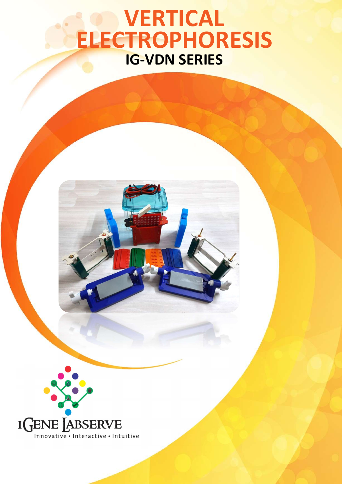# VERTICAL ELECTROPHORESIS IG-VDN SERIES



www.igenels.com | info@igenels.com | +91-11-79613060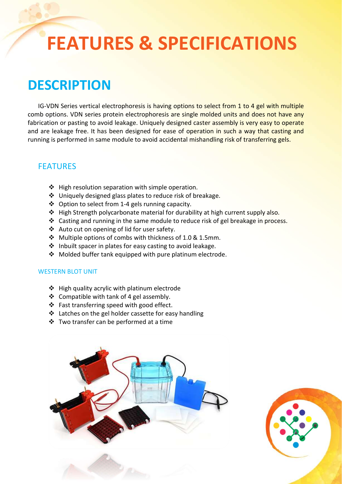# FEATURES & SPECIFICATIONS

# **DESCRIPTION**

IG-VDN Series vertical electrophoresis is having options to select from 1 to 4 gel with multiple comb options. VDN series protein electrophoresis are single molded units and does not have any fabrication or pasting to avoid leakage. Uniquely designed caster assembly is very easy to operate and are leakage free. It has been designed for ease of operation in such a way that casting and running is performed in same module to avoid accidental mishandling risk of transferring gels.

## FEATURES

- ❖ High resolution separation with simple operation.
- Uniquely designed glass plates to reduce risk of breakage.
- Option to select from 1-4 gels running capacity.
- $\triangleq$  High Strength polycarbonate material for durability at high current supply also.
- \* Casting and running in the same module to reduce risk of gel breakage in process.
- \* Auto cut on opening of lid for user safety.
- Multiple options of combs with thickness of 1.0 & 1.5mm.
- $\cdot$  Inbuilt spacer in plates for easy casting to avoid leakage.
- ❖ Molded buffer tank equipped with pure platinum electrode.

#### WESTERN BLOT UNIT

- High quality acrylic with platinum electrode
- $\triangleleft$  Compatible with tank of 4 gel assembly.
- ❖ Fast transferring speed with good effect.
- ❖ Latches on the gel holder cassette for easy handling
- Two transfer can be performed at a time



where  $\mathcal{A}$  is the information of  $\mathcal{A}$